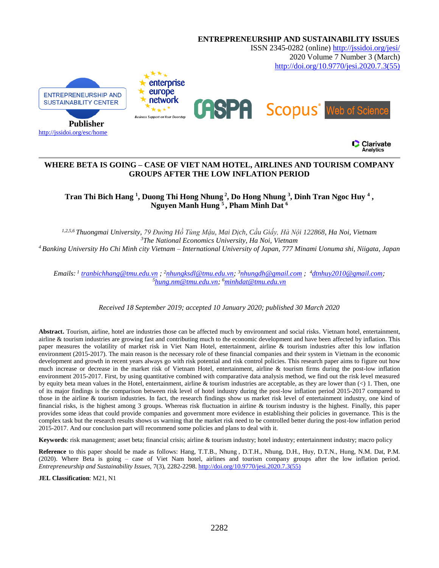

# **WHERE BETA IS GOING – CASE OF VIET NAM HOTEL, AIRLINES AND TOURISM COMPANY GROUPS AFTER THE LOW INFLATION PERIOD**

Tran Thi Bich Hang<sup>1</sup>, Duong Thi Hong Nhung<sup>2</sup>, Do Hong Nhung<sup>3</sup>, Dinh Tran Ngoc Huy<sup>4</sup>, **Nguyen Manh Hung <sup>5</sup> , Pham Minh Dat <sup>6</sup>**

*1,2,5,6 Thuongmai University, 79 Đường Hồ Tùng Mậu, Mai Dịch, Cầu Giấy, Hà Nội 122868, Ha Noi, Vietnam <sup>3</sup>The National Economics University, Ha Noi, Vietnam <sup>4</sup>Banking University Ho Chi Minh city Vietnam – International University of Japan, 777 Minami Uonuma shi, Niigata, Japan*

*Emails: 1 [tranbichhang@tmu.edu.vn](mailto:tranbichhang@tmu.edu.vn) ; <sup>2</sup>[nhungksdl@tmu.edu.vn;](mailto:nhungksdl@tmu.edu.vn) <sup>3</sup>[nhungdh@gmail.com](mailto:nhungdh@gmail.com) ; <sup>4</sup>[dtnhuy2010@gmail.com;](mailto:dtnhuy2010@gmail.com) <sup>5</sup>[hung.nm@tmu.edu.vn;](mailto:hung.nm@tmu.edu.vn) <sup>6</sup>[minhdat@tmu.edu.vn](mailto:minhdat@tmu.edu.vn)* 

*Received 18 September 2019; accepted 10 January 2020; published 30 March 2020*

**Abstract.** Tourism, airline, hotel are industries those can be affected much by environment and social risks. Vietnam hotel, entertainment, airline & tourism industries are growing fast and contributing much to the economic development and have been affected by inflation. This paper measures the volatility of market risk in Viet Nam Hotel, entertainment, airline & tourism industries after this low inflation environment (2015-2017). The main reason is the necessary role of these financial companies and their system in Vietnam in the economic development and growth in recent years always go with risk potential and risk control policies. This research paper aims to figure out how much increase or decrease in the market risk of Vietnam Hotel, entertainment, airline & tourism firms during the post-low inflation environment 2015-2017. First, by using quantitative combined with comparative data analysis method, we find out the risk level measured by equity beta mean values in the Hotel, entertainment, airline & tourism industries are acceptable, as they are lower than  $(\leq)$  1. Then, one of its major findings is the comparison between risk level of hotel industry during the post-low inflation period 2015-2017 compared to those in the airline & tourism industries. In fact, the research findings show us market risk level of entertainment industry, one kind of financial risks, is the highest among 3 groups. Whereas risk fluctuation in airline & tourism industry is the highest. Finally, this paper provides some ideas that could provide companies and government more evidence in establishing their policies in governance. This is the complex task but the research results shows us warning that the market risk need to be controlled better during the post-low inflation period 2015-2017. And our conclusion part will recommend some policies and plans to deal with it.

**Keywords**: risk management; asset beta; financial crisis; airline & tourism industry; hotel industry; entertainment industry; macro policy

**Reference** to this paper should be made as follows: Hang, T.T.B., Nhung , D.T.H., Nhung, D.H., Huy, D.T.N., Hung, N.M. Dat, P.M. (2020). Where Beta is going – case of Viet Nam hotel, airlines and tourism company groups after the low inflation period. *Entrepreneurship and Sustainability Issues,* 7(3), 2282-2298[. http://doi.org/10.9770/jesi.2020.7.3\(55\)](http://doi.org/10.9770/jesi.2020.7.3(55))

**JEL Classification**: M21, N1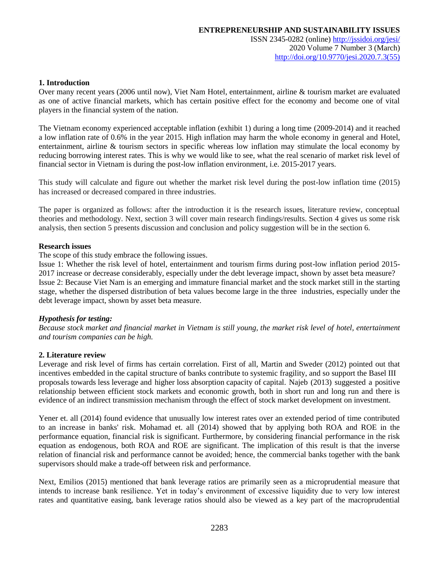#### **1. Introduction**

Over many recent years (2006 until now), Viet Nam Hotel, entertainment, airline & tourism market are evaluated as one of active financial markets, which has certain positive effect for the economy and become one of vital players in the financial system of the nation.

The Vietnam economy experienced acceptable inflation (exhibit 1) during a long time (2009-2014) and it reached a low inflation rate of 0.6% in the year 2015. High inflation may harm the whole economy in general and Hotel, entertainment, airline & tourism sectors in specific whereas low inflation may stimulate the local economy by reducing borrowing interest rates. This is why we would like to see, what the real scenario of market risk level of financial sector in Vietnam is during the post-low inflation environment, i.e. 2015-2017 years.

This study will calculate and figure out whether the market risk level during the post-low inflation time (2015) has increased or decreased compared in three industries.

The paper is organized as follows: after the introduction it is the research issues, literature review, conceptual theories and methodology. Next, section 3 will cover main research findings/results. Section 4 gives us some risk analysis, then section 5 presents discussion and conclusion and policy suggestion will be in the section 6.

#### **Research issues**

The scope of this study embrace the following issues.

Issue 1: Whether the risk level of hotel, entertainment and tourism firms during post-low inflation period 2015- 2017 increase or decrease considerably, especially under the debt leverage impact, shown by asset beta measure? Issue 2: Because Viet Nam is an emerging and immature financial market and the stock market still in the starting stage, whether the dispersed distribution of beta values become large in the three industries, especially under the debt leverage impact, shown by asset beta measure.

# *Hypothesis for testing:*

*Because stock market and financial market in Vietnam is still young, the market risk level of hotel, entertainment and tourism companies can be high.*

# **2. Literature review**

Leverage and risk level of firms has certain correlation. First of all, Martin and Sweder (2012) pointed out that incentives embedded in the capital structure of banks contribute to systemic fragility, and so support the Basel III proposals towards less leverage and higher loss absorption capacity of capital. Najeb (2013) suggested a positive relationship between efficient stock markets and economic growth, both in short run and long run and there is evidence of an indirect transmission mechanism through the effect of stock market development on investment.

Yener et. all (2014) found evidence that unusually low interest rates over an extended period of time contributed to an increase in banks' risk. Mohamad et. all (2014) showed that by applying both ROA and ROE in the performance equation, financial risk is significant. Furthermore, by considering financial performance in the risk equation as endogenous, both ROA and ROE are significant. The implication of this result is that the inverse relation of financial risk and performance cannot be avoided; hence, the commercial banks together with the bank supervisors should make a trade-off between risk and performance.

Next, Emilios (2015) mentioned that bank leverage ratios are primarily seen as a microprudential measure that intends to increase bank resilience. Yet in today's environment of excessive liquidity due to very low interest rates and quantitative easing, bank leverage ratios should also be viewed as a key part of the macroprudential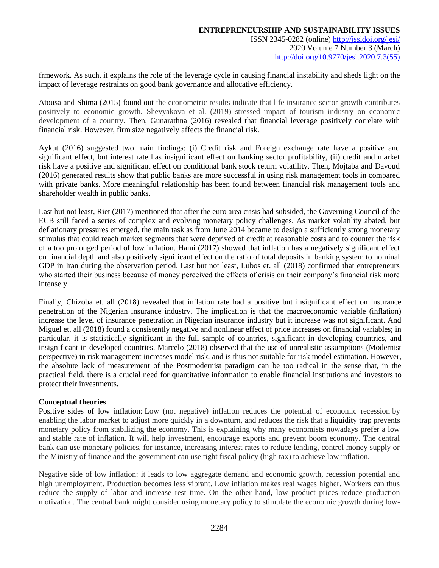[http://doi.org/10.9770/jesi.2020.7.3\(55\)](http://doi.org/10.9770/jesi.2020.7.3(55))

frmework. As such, it explains the role of the leverage cycle in causing financial instability and sheds light on the impact of leverage restraints on good bank governance and allocative efficiency.

Atousa and Shima (2015) found out the econometric results indicate that life insurance sector growth contributes positively to economic growth. Shevyakova et al. (2019) stressed impact of tourism industry on economic development of a country. Then, Gunarathna (2016) revealed that financial leverage positively correlate with financial risk. However, firm size negatively affects the financial risk.

Aykut (2016) suggested two main findings: (i) Credit risk and Foreign exchange rate have a positive and significant effect, but interest rate has insignificant effect on banking sector profitability, (ii) credit and market risk have a positive and significant effect on conditional bank stock return volatility. Then, Mojtaba and Davoud (2016) generated results show that public banks are more successful in using risk management tools in compared with private banks. More meaningful relationship has been found between financial risk management tools and shareholder wealth in public banks.

Last but not least, Riet (2017) mentioned that after the euro area crisis had subsided, the Governing Council of the ECB still faced a series of complex and evolving monetary policy challenges. As market volatility abated, but deflationary pressures emerged, the main task as from June 2014 became to design a sufficiently strong monetary stimulus that could reach market segments that were deprived of credit at reasonable costs and to counter the risk of a too prolonged period of low inflation. Hami (2017) showed that inflation has a negatively significant effect on financial depth and also positively significant effect on the ratio of total deposits in banking system to nominal GDP in Iran during the observation period. Last but not least, Lubos et. all (2018) confirmed that entrepreneurs who started their business because of money perceived the effects of crisis on their company's financial risk more intensely.

Finally, Chizoba et. all (2018) revealed that inflation rate had a positive but insignificant effect on insurance penetration of the Nigerian insurance industry. The implication is that the macroeconomic variable (inflation) increase the level of insurance penetration in Nigerian insurance industry but it increase was not significant. And Miguel et. all (2018) found a consistently negative and nonlinear effect of price increases on financial variables; in particular, it is statistically significant in the full sample of countries, significant in developing countries, and insignificant in developed countries. Marcelo (2018) observed that the use of unrealistic assumptions (Modernist perspective) in risk management increases model risk, and is thus not suitable for risk model estimation. However, the absolute lack of measurement of the Postmodernist paradigm can be too radical in the sense that, in the practical field, there is a crucial need for quantitative information to enable financial institutions and investors to protect their investments.

# **Conceptual theories**

Positive sides of low inflation: Low (not negative) inflation reduces the potential of economic recession by enabling the labor market to adjust more quickly in a downturn, and reduces the risk that a liquidity trap prevents monetary policy from stabilizing the economy. This is explaining why many economists nowadays prefer a low and stable rate of inflation. It will help investment, encourage exports and prevent boom economy. The central bank can use monetary policies, for instance, increasing interest rates to reduce lending, control money supply or the Ministry of finance and the government can use tight fiscal policy (high tax) to achieve low inflation.

Negative side of low inflation: it leads to low aggregate demand and economic growth, recession potential and high unemployment. Production becomes less vibrant. Low inflation makes real wages higher. Workers can thus reduce the supply of labor and increase rest time. On the other hand, low product prices reduce production motivation. The central bank might consider using monetary policy to stimulate the economic growth during low-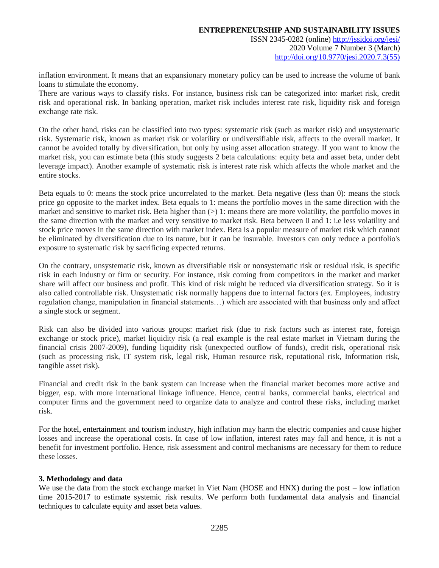ISSN 2345-0282 (online) <http://jssidoi.org/jesi/> 2020 Volume 7 Number 3 (March) [http://doi.org/10.9770/jesi.2020.7.3\(55\)](http://doi.org/10.9770/jesi.2020.7.3(55))

inflation environment. It means that an expansionary monetary policy can be used to increase the volume of bank loans to stimulate the economy.

There are various ways to classify risks. For instance, business risk can be categorized into: market risk, credit risk and operational risk. In banking operation, market risk includes interest rate risk, liquidity risk and foreign exchange rate risk.

On the other hand, risks can be classified into two types: systematic risk (such as market risk) and unsystematic risk. Systematic risk, known as market risk or volatility or undiversifiable risk, affects to the overall market. It cannot be avoided totally by diversification, but only by using asset allocation strategy. If you want to know the market risk, you can estimate beta (this study suggests 2 beta calculations: equity beta and asset beta, under debt leverage impact). Another example of systematic risk is interest rate risk which affects the whole market and the entire stocks.

Beta equals to 0: means the stock price uncorrelated to the market. Beta negative (less than 0): means the stock price go opposite to the market index. Beta equals to 1: means the portfolio moves in the same direction with the market and sensitive to market risk. Beta higher than  $(>)$  1: means there are more volatility, the portfolio moves in the same direction with the market and very sensitive to market risk. Beta between 0 and 1: i.e less volatility and stock price moves in the same direction with market index. Beta is a popular measure of market risk which cannot be eliminated by diversification due to its nature, but it can be insurable. Investors can only reduce a portfolio's exposure to systematic risk by sacrificing expected returns.

On the contrary, unsystematic risk, known as diversifiable risk or nonsystematic risk or residual risk, is specific risk in each industry or firm or security. For instance, risk coming from competitors in the market and market share will affect our business and profit. This kind of risk might be reduced via diversification strategy. So it is also called controllable risk. Unsystematic risk normally happens due to internal factors (ex. Employees, industry regulation change, manipulation in financial statements…) which are associated with that business only and affect a single stock or segment.

Risk can also be divided into various groups: market risk (due to risk factors such as interest rate, foreign exchange or stock price), market liquidity risk (a real example is the real estate market in Vietnam during the financial crisis 2007-2009), funding liquidity risk (unexpected outflow of funds), credit risk, operational risk (such as processing risk, IT system risk, legal risk, Human resource risk, reputational risk, Information risk, tangible asset risk).

Financial and credit risk in the bank system can increase when the financial market becomes more active and bigger, esp. with more international linkage influence. Hence, central banks, commercial banks, electrical and computer firms and the government need to organize data to analyze and control these risks, including market risk.

For the hotel, entertainment and tourism industry, high inflation may harm the electric companies and cause higher losses and increase the operational costs. In case of low inflation, interest rates may fall and hence, it is not a benefit for investment portfolio. Hence, risk assessment and control mechanisms are necessary for them to reduce these losses.

# **3. Methodology and data**

We use the data from the stock exchange market in Viet Nam (HOSE and HNX) during the post – low inflation time 2015-2017 to estimate systemic risk results. We perform both fundamental data analysis and financial techniques to calculate equity and asset beta values.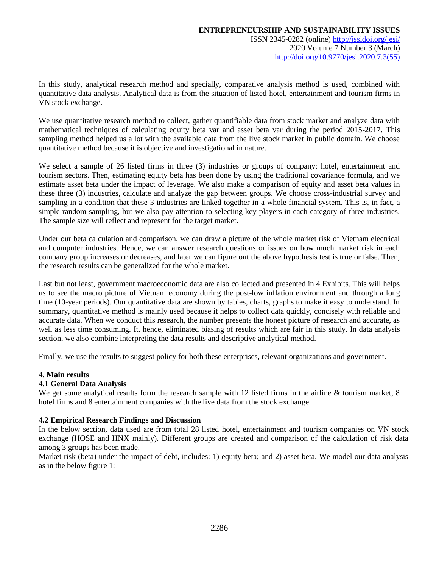In this study, analytical research method and specially, comparative analysis method is used, combined with quantitative data analysis. Analytical data is from the situation of listed hotel, entertainment and tourism firms in VN stock exchange.

We use quantitative research method to collect, gather quantifiable data from stock market and analyze data with mathematical techniques of calculating equity beta var and asset beta var during the period 2015-2017. This sampling method helped us a lot with the available data from the live stock market in public domain. We choose quantitative method because it is objective and investigational in nature.

We select a sample of 26 listed firms in three (3) industries or groups of company: hotel, entertainment and tourism sectors. Then, estimating equity beta has been done by using the traditional covariance formula, and we estimate asset beta under the impact of leverage. We also make a comparison of equity and asset beta values in these three (3) industries, calculate and analyze the gap between groups. We choose cross-industrial survey and sampling in a condition that these 3 industries are linked together in a whole financial system. This is, in fact, a simple random sampling, but we also pay attention to selecting key players in each category of three industries. The sample size will reflect and represent for the target market.

Under our beta calculation and comparison, we can draw a picture of the whole market risk of Vietnam electrical and computer industries. Hence, we can answer research questions or issues on how much market risk in each company group increases or decreases, and later we can figure out the above hypothesis test is true or false. Then, the research results can be generalized for the whole market.

Last but not least, government macroeconomic data are also collected and presented in 4 Exhibits. This will helps us to see the macro picture of Vietnam economy during the post-low inflation environment and through a long time (10-year periods). Our quantitative data are shown by tables, charts, graphs to make it easy to understand. In summary, quantitative method is mainly used because it helps to collect data quickly, concisely with reliable and accurate data. When we conduct this research, the number presents the honest picture of research and accurate, as well as less time consuming. It, hence, eliminated biasing of results which are fair in this study. In data analysis section, we also combine interpreting the data results and descriptive analytical method.

Finally, we use the results to suggest policy for both these enterprises, relevant organizations and government.

# **4. Main results**

# **4.1 General Data Analysis**

We get some analytical results form the research sample with 12 listed firms in the airline & tourism market, 8 hotel firms and 8 entertainment companies with the live data from the stock exchange.

# **4.2 Empirical Research Findings and Discussion**

In the below section, data used are from total 28 listed hotel, entertainment and tourism companies on VN stock exchange (HOSE and HNX mainly). Different groups are created and comparison of the calculation of risk data among 3 groups has been made.

Market risk (beta) under the impact of debt, includes: 1) equity beta; and 2) asset beta. We model our data analysis as in the below figure 1: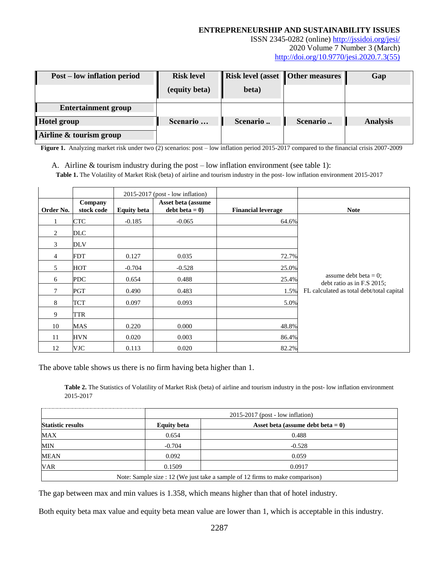ISSN 2345-0282 (online) <http://jssidoi.org/jesi/> 2020 Volume 7 Number 3 (March) [http://doi.org/10.9770/jesi.2020.7.3\(55\)](http://doi.org/10.9770/jesi.2020.7.3(55))

| <b>Post</b> – low inflation period | <b>Risk level</b> | <b>Risk level (asset   Other measures   </b> |          | Gap             |
|------------------------------------|-------------------|----------------------------------------------|----------|-----------------|
|                                    | (equity beta)     | beta)                                        |          |                 |
| <b>Entertainment group</b>         |                   |                                              |          |                 |
| <b>Hotel group</b>                 | Scenario          | Scenario                                     | Scenario | <b>Analysis</b> |
| Airline & tourism group            |                   |                                              |          |                 |

**Figure 1.** Analyzing market risk under two (2) scenarios: post – low inflation period 2015-2017 compared to the financial crisis 2007-2009

A. Airline & tourism industry during the post – low inflation environment (see table 1):

**Table 1.** The Volatility of Market Risk (beta) of airline and tourism industry in the post- low inflation environment 2015-2017

|                |                       | $2015-2017$ (post - low inflation) |                                       |                           |                                                        |
|----------------|-----------------------|------------------------------------|---------------------------------------|---------------------------|--------------------------------------------------------|
| Order No.      | Company<br>stock code | <b>Equity beta</b>                 | Asset beta (assume<br>$debt beta = 0$ | <b>Financial leverage</b> | <b>Note</b>                                            |
|                | <b>CTC</b>            | $-0.185$                           | $-0.065$                              | 64.6%                     |                                                        |
| 2              | <b>DLC</b>            |                                    |                                       |                           |                                                        |
| 3              | <b>DLV</b>            |                                    |                                       |                           |                                                        |
| $\overline{4}$ | <b>FDT</b>            | 0.127                              | 0.035                                 | 72.7%                     |                                                        |
| 5              | <b>HOT</b>            | $-0.704$                           | $-0.528$                              | 25.0%                     |                                                        |
| 6              | <b>PDC</b>            | 0.654                              | 0.488                                 | 25.4%                     | assume debt beta $= 0$ ;<br>debt ratio as in F.S 2015; |
| 7              | PGT                   | 0.490                              | 0.483                                 | 1.5%                      | FL calculated as total debt/total capital              |
| 8              | TCT                   | 0.097                              | 0.093                                 | 5.0%                      |                                                        |
| 9              | TTR                   |                                    |                                       |                           |                                                        |
| 10             | MAS                   | 0.220                              | 0.000                                 | 48.8%                     |                                                        |
| 11             | <b>HVN</b>            | 0.020                              | 0.003                                 | 86.4%                     |                                                        |
| 12             | VJC                   | 0.113                              | 0.020                                 | 82.2%                     |                                                        |

The above table shows us there is no firm having beta higher than 1.

Table 2. The Statistics of Volatility of Market Risk (beta) of airline and tourism industry in the post- low inflation environment 2015-2017

|                                                                               |                    | $2015-2017$ (post - low inflation)   |  |  |
|-------------------------------------------------------------------------------|--------------------|--------------------------------------|--|--|
| <b>Statistic results</b>                                                      | <b>Equity beta</b> | Asset beta (assume debt beta $= 0$ ) |  |  |
| MAX                                                                           | 0.654              | 0.488                                |  |  |
| MIN                                                                           | $-0.704$           | $-0.528$                             |  |  |
| <b>MEAN</b>                                                                   | 0.092              | 0.059                                |  |  |
| VAR                                                                           | 0.1509             | 0.0917                               |  |  |
| Note: Sample size : 12 (We just take a sample of 12 firms to make comparison) |                    |                                      |  |  |

The gap between max and min values is 1.358, which means higher than that of hotel industry.

Both equity beta max value and equity beta mean value are lower than 1, which is acceptable in this industry.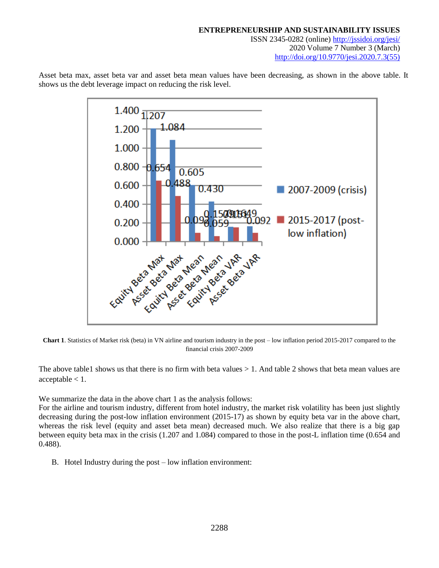$1.400 \frac{1}{11207}$ 1.084  $1.200 -$ 1.000  $0.800 - 0.654$ 0.605 488 0.600 2007-2009 (crisis) 0.430 0.400  $\blacksquare$  2015-2017 (post-092 0.200 low inflation) 0.000 

Asset beta max, asset beta var and asset beta mean values have been decreasing, as shown in the above table. It shows us the debt leverage impact on reducing the risk level.

**Chart 1**. Statistics of Market risk (beta) in VN airline and tourism industry in the post – low inflation period 2015-2017 compared to the financial crisis 2007-2009

The above table1 shows us that there is no firm with beta values  $> 1$ . And table 2 shows that beta mean values are  $acceptable < 1$ .

We summarize the data in the above chart 1 as the analysis follows:

For the airline and tourism industry, different from hotel industry, the market risk volatility has been just slightly decreasing during the post-low inflation environment (2015-17) as shown by equity beta var in the above chart, whereas the risk level (equity and asset beta mean) decreased much. We also realize that there is a big gap between equity beta max in the crisis (1.207 and 1.084) compared to those in the post-L inflation time (0.654 and 0.488).

B. Hotel Industry during the post – low inflation environment: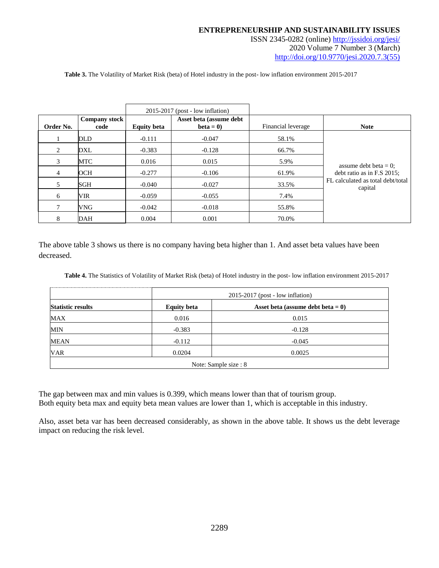ISSN 2345-0282 (online) <http://jssidoi.org/jesi/> 2020 Volume 7 Number 3 (March)

[http://doi.org/10.9770/jesi.2020.7.3\(55\)](http://doi.org/10.9770/jesi.2020.7.3(55))

**Table 3.** The Volatility of Market Risk (beta) of Hotel industry in the post- low inflation environment 2015-2017

|           |                       |                    | $2015-2017$ (post - low inflation)    |                    |                                              |
|-----------|-----------------------|--------------------|---------------------------------------|--------------------|----------------------------------------------|
| Order No. | Company stock<br>code | <b>Equity beta</b> | Asset beta (assume debt<br>$beta = 0$ | Financial leverage | <b>Note</b>                                  |
|           | <b>DLD</b>            | $-0.111$           | $-0.047$                              | 58.1%              |                                              |
| 2         | DXL                   | $-0.383$           | $-0.128$                              | 66.7%              |                                              |
| 3         | MTC                   | 0.016              | 0.015                                 | 5.9%               | assume debt beta $= 0$ ;                     |
| 4         | OCH                   | $-0.277$           | $-0.106$                              | 61.9%              | debt ratio as in F.S 2015;                   |
| 5.        | SGH                   | $-0.040$           | $-0.027$                              | 33.5%              | FL calculated as total debt/total<br>capital |
| 6         | VIR                   | $-0.059$           | $-0.055$                              | 7.4%               |                                              |
| 7         | VNG                   | $-0.042$           | $-0.018$                              | 55.8%              |                                              |
| 8         | <b>DAH</b>            | 0.004              | 0.001                                 | 70.0%              |                                              |

The above table 3 shows us there is no company having beta higher than 1. And asset beta values have been decreased.

**Table 4.** The Statistics of Volatility of Market Risk (beta) of Hotel industry in the post- low inflation environment 2015-2017

|                          | $2015-2017$ (post - low inflation) |                                      |  |  |
|--------------------------|------------------------------------|--------------------------------------|--|--|
| <b>Statistic results</b> | <b>Equity beta</b>                 | Asset beta (assume debt beta $= 0$ ) |  |  |
| MAX                      | 0.016                              | 0.015                                |  |  |
| MIN                      | $-0.383$                           | $-0.128$                             |  |  |
| <b>MEAN</b>              | $-0.112$                           | $-0.045$                             |  |  |
| <b>VAR</b>               | 0.0204                             | 0.0025                               |  |  |
|                          | Note: Sample size : 8              |                                      |  |  |

The gap between max and min values is 0.399, which means lower than that of tourism group. Both equity beta max and equity beta mean values are lower than 1, which is acceptable in this industry.

Also, asset beta var has been decreased considerably, as shown in the above table. It shows us the debt leverage impact on reducing the risk level.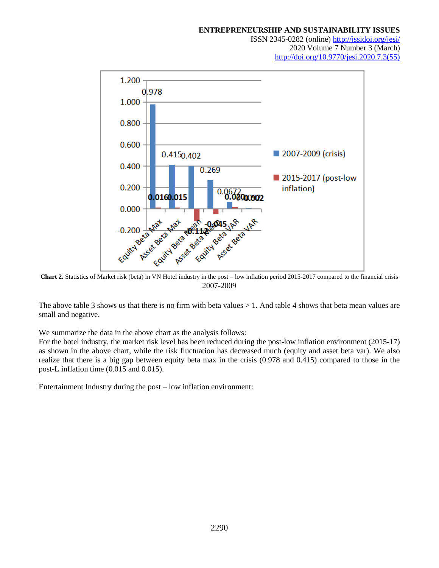ISSN 2345-0282 (online) <http://jssidoi.org/jesi/> 2020 Volume 7 Number 3 (March)





2007-2009

The above table 3 shows us that there is no firm with beta values > 1. And table 4 shows that beta mean values are small and negative.

We summarize the data in the above chart as the analysis follows:

For the hotel industry, the market risk level has been reduced during the post-low inflation environment (2015-17) as shown in the above chart, while the risk fluctuation has decreased much (equity and asset beta var). We also realize that there is a big gap between equity beta max in the crisis (0.978 and 0.415) compared to those in the post-L inflation time (0.015 and 0.015).

Entertainment Industry during the post – low inflation environment: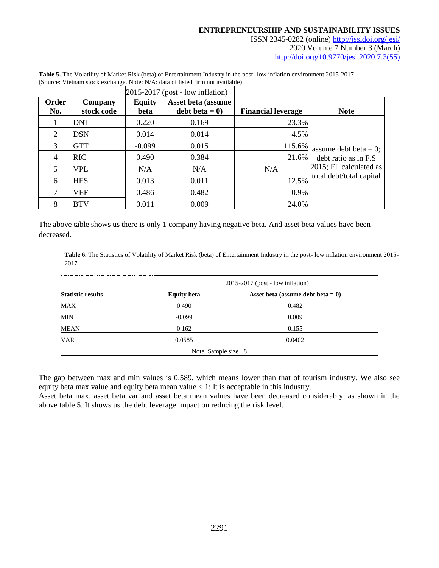ISSN 2345-0282 (online) <http://jssidoi.org/jesi/> 2020 Volume 7 Number 3 (March) [http://doi.org/10.9770/jesi.2020.7.3\(55\)](http://doi.org/10.9770/jesi.2020.7.3(55))

|                |                       |                       | $2015-2017$ (post - low inflation)    |                           |                          |
|----------------|-----------------------|-----------------------|---------------------------------------|---------------------------|--------------------------|
| Order<br>No.   | Company<br>stock code | <b>Equity</b><br>beta | Asset beta (assume<br>debt beta $= 0$ | <b>Financial leverage</b> | <b>Note</b>              |
|                | DNT                   | 0.220                 | 0.169                                 | 23.3%                     |                          |
| 2              | <b>DSN</b>            | 0.014                 | 0.014                                 | 4.5%                      |                          |
| 3              | GTT                   | $-0.099$              | 0.015                                 | 115.6%                    | assume debt beta = $0$ ; |
| $\overline{4}$ | <b>RIC</b>            | 0.490                 | 0.384                                 | 21.6%                     | debt ratio as in F.S.    |
| 5              | VPL                   | N/A                   | N/A                                   | N/A                       | 2015; FL calculated as   |
| 6              | <b>HES</b>            | 0.013                 | 0.011                                 | 12.5%                     | total debt/total capital |
| 7              | VEF                   | 0.486                 | 0.482                                 | 0.9%                      |                          |
| 8              | <b>BTV</b>            | 0.011                 | 0.009                                 | 24.0%                     |                          |

**Table 5.** The Volatility of Market Risk (beta) of Entertainment Industry in the post- low inflation environment 2015-2017 (Source: Vietnam stock exchange. Note: N/A: data of listed firm not available)

The above table shows us there is only 1 company having negative beta. And asset beta values have been decreased.

Table 6. The Statistics of Volatility of Market Risk (beta) of Entertainment Industry in the post- low inflation environment 2015-2017

|                          | $2015-2017$ (post - low inflation) |                                      |  |
|--------------------------|------------------------------------|--------------------------------------|--|
| <b>Statistic results</b> | <b>Equity beta</b>                 | Asset beta (assume debt beta $= 0$ ) |  |
| MAX                      | 0.490                              | 0.482                                |  |
| MIN                      | $-0.099$                           | 0.009                                |  |
| MEAN                     | 0.162                              | 0.155                                |  |
| <b>VAR</b>               | 0.0585                             | 0.0402                               |  |
| Note: Sample size : 8    |                                    |                                      |  |

The gap between max and min values is 0.589, which means lower than that of tourism industry. We also see equity beta max value and equity beta mean value < 1: It is acceptable in this industry.

Asset beta max, asset beta var and asset beta mean values have been decreased considerably, as shown in the above table 5. It shows us the debt leverage impact on reducing the risk level.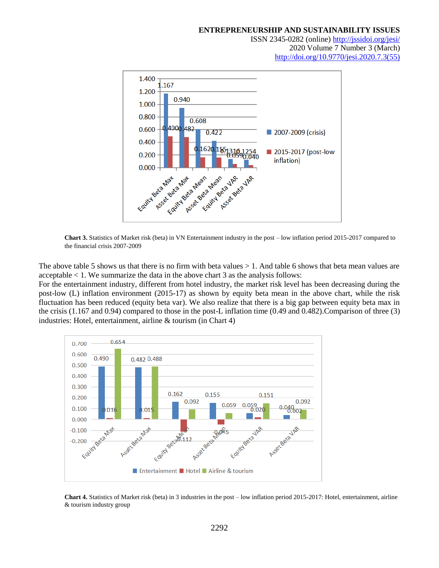ISSN 2345-0282 (online) <http://jssidoi.org/jesi/> 2020 Volume 7 Number 3 (March) [http://doi.org/10.9770/jesi.2020.7.3\(55\)](http://doi.org/10.9770/jesi.2020.7.3(55))



**Chart 3.** Statistics of Market risk (beta) in VN Entertainment industry in the post – low inflation period 2015-2017 compared to the financial crisis 2007-2009

The above table 5 shows us that there is no firm with beta values  $> 1$ . And table 6 shows that beta mean values are acceptable < 1. We summarize the data in the above chart 3 as the analysis follows:

For the entertainment industry, different from hotel industry, the market risk level has been decreasing during the post-low (L) inflation environment (2015-17) as shown by equity beta mean in the above chart, while the risk fluctuation has been reduced (equity beta var). We also realize that there is a big gap between equity beta max in the crisis (1.167 and 0.94) compared to those in the post-L inflation time (0.49 and 0.482).Comparison of three (3) industries: Hotel, entertainment, airline & tourism (in Chart 4)



**Chart 4.** Statistics of Market risk (beta) in 3 industries in the post – low inflation period 2015-2017: Hotel, entertainment, airline & tourism industry group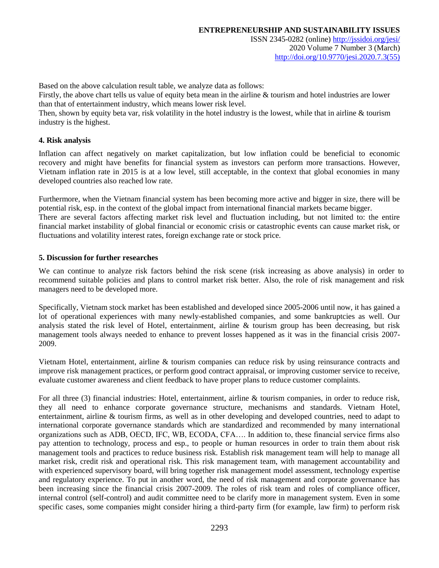ISSN 2345-0282 (online) <http://jssidoi.org/jesi/> 2020 Volume 7 Number 3 (March) [http://doi.org/10.9770/jesi.2020.7.3\(55\)](http://doi.org/10.9770/jesi.2020.7.3(55))

Based on the above calculation result table, we analyze data as follows:

Firstly, the above chart tells us value of equity beta mean in the airline & tourism and hotel industries are lower than that of entertainment industry, which means lower risk level.

Then, shown by equity beta var, risk volatility in the hotel industry is the lowest, while that in airline & tourism industry is the highest.

# **4. Risk analysis**

Inflation can affect negatively on market capitalization, but low inflation could be beneficial to economic recovery and might have benefits for financial system as investors can perform more transactions. However, Vietnam inflation rate in 2015 is at a low level, still acceptable, in the context that global economies in many developed countries also reached low rate.

Furthermore, when the Vietnam financial system has been becoming more active and bigger in size, there will be potential risk, esp. in the context of the global impact from international financial markets became bigger.

There are several factors affecting market risk level and fluctuation including, but not limited to: the entire financial market instability of global financial or economic crisis or catastrophic events can cause market risk, or fluctuations and volatility interest rates, foreign exchange rate or stock price.

# **5. Discussion for further researches**

We can continue to analyze risk factors behind the risk scene (risk increasing as above analysis) in order to recommend suitable policies and plans to control market risk better. Also, the role of risk management and risk managers need to be developed more.

Specifically, Vietnam stock market has been established and developed since 2005-2006 until now, it has gained a lot of operational experiences with many newly-established companies, and some bankruptcies as well. Our analysis stated the risk level of Hotel, entertainment, airline & tourism group has been decreasing, but risk management tools always needed to enhance to prevent losses happened as it was in the financial crisis 2007- 2009.

Vietnam Hotel, entertainment, airline & tourism companies can reduce risk by using reinsurance contracts and improve risk management practices, or perform good contract appraisal, or improving customer service to receive, evaluate customer awareness and client feedback to have proper plans to reduce customer complaints.

For all three (3) financial industries: Hotel, entertainment, airline & tourism companies, in order to reduce risk, they all need to enhance corporate governance structure, mechanisms and standards. Vietnam Hotel, entertainment, airline & tourism firms, as well as in other developing and developed countries, need to adapt to international corporate governance standards which are standardized and recommended by many international organizations such as ADB, OECD, IFC, WB, ECODA, CFA…. In addition to, these financial service firms also pay attention to technology, process and esp., to people or human resources in order to train them about risk management tools and practices to reduce business risk. Establish risk management team will help to manage all market risk, credit risk and operational risk. This risk management team, with management accountability and with experienced supervisory board, will bring together risk management model assessment, technology expertise and regulatory experience. To put in another word, the need of risk management and corporate governance has been increasing since the financial crisis 2007-2009. The roles of risk team and roles of compliance officer, internal control (self-control) and audit committee need to be clarify more in management system. Even in some specific cases, some companies might consider hiring a third-party firm (for example, law firm) to perform risk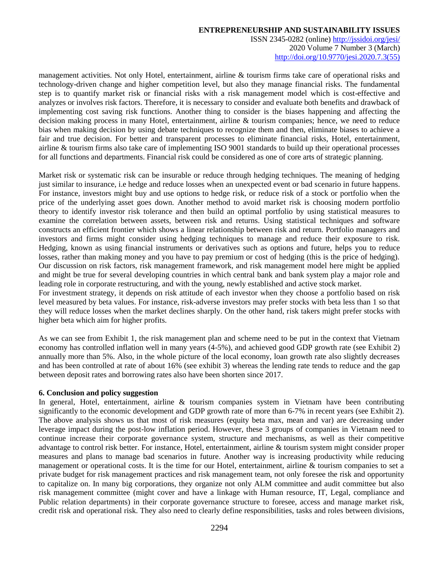ISSN 2345-0282 (online) <http://jssidoi.org/jesi/> 2020 Volume 7 Number 3 (March) [http://doi.org/10.9770/jesi.2020.7.3\(55\)](http://doi.org/10.9770/jesi.2020.7.3(55))

management activities. Not only Hotel, entertainment, airline & tourism firms take care of operational risks and technology-driven change and higher competition level, but also they manage financial risks. The fundamental step is to quantify market risk or financial risks with a risk management model which is cost-effective and analyzes or involves risk factors. Therefore, it is necessary to consider and evaluate both benefits and drawback of implementing cost saving risk functions. Another thing to consider is the biases happening and affecting the decision making process in many Hotel, entertainment, airline & tourism companies; hence, we need to reduce bias when making decision by using debate techniques to recognize them and then, eliminate biases to achieve a fair and true decision. For better and transparent processes to eliminate financial risks, Hotel, entertainment, airline & tourism firms also take care of implementing ISO 9001 standards to build up their operational processes for all functions and departments. Financial risk could be considered as one of core arts of strategic planning.

Market risk or systematic risk can be insurable or reduce through hedging techniques. The meaning of hedging just similar to insurance, i.e hedge and reduce losses when an unexpected event or bad scenario in future happens. For instance, investors might buy and use options to hedge risk, or reduce risk of a stock or portfolio when the price of the underlying asset goes down. Another method to avoid market risk is choosing modern portfolio theory to identify investor risk tolerance and then build an optimal portfolio by using statistical measures to examine the correlation between assets, between risk and returns. Using statistical techniques and software constructs an efficient frontier which shows a linear relationship between risk and return. Portfolio managers and investors and firms might consider using hedging techniques to manage and reduce their exposure to risk. Hedging, known as using financial instruments or derivatives such as options and future, helps you to reduce losses, rather than making money and you have to pay premium or cost of hedging (this is the price of hedging). Our discussion on risk factors, risk management framework, and risk management model here might be applied and might be true for several developing countries in which central bank and bank system play a major role and leading role in corporate restructuring, and with the young, newly established and active stock market.

For investment strategy, it depends on risk attitude of each investor when they choose a portfolio based on risk level measured by beta values. For instance, risk-adverse investors may prefer stocks with beta less than 1 so that they will reduce losses when the market declines sharply. On the other hand, risk takers might prefer stocks with higher beta which aim for higher profits.

As we can see from Exhibit 1, the risk management plan and scheme need to be put in the context that Vietnam economy has controlled inflation well in many years (4-5%), and achieved good GDP growth rate (see Exhibit 2) annually more than 5%. Also, in the whole picture of the local economy, loan growth rate also slightly decreases and has been controlled at rate of about 16% (see exhibit 3) whereas the lending rate tends to reduce and the gap between deposit rates and borrowing rates also have been shorten since 2017.

# **6. Conclusion and policy suggestion**

In general, Hotel, entertainment, airline & tourism companies system in Vietnam have been contributing significantly to the economic development and GDP growth rate of more than 6-7% in recent years (see Exhibit 2). The above analysis shows us that most of risk measures (equity beta max, mean and var) are decreasing under leverage impact during the post-low inflation period. However, these 3 groups of companies in Vietnam need to continue increase their corporate governance system, structure and mechanisms, as well as their competitive advantage to control risk better. For instance, Hotel, entertainment, airline & tourism system might consider proper measures and plans to manage bad scenarios in future. Another way is increasing productivity while reducing management or operational costs. It is the time for our Hotel, entertainment, airline & tourism companies to set a private budget for risk management practices and risk management team, not only foresee the risk and opportunity to capitalize on. In many big corporations, they organize not only ALM committee and audit committee but also risk management committee (might cover and have a linkage with Human resource, IT, Legal, compliance and Public relation departments) in their corporate governance structure to foresee, access and manage market risk, credit risk and operational risk. They also need to clearly define responsibilities, tasks and roles between divisions,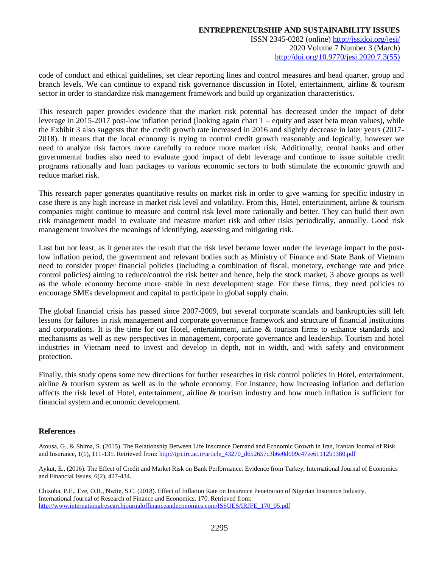code of conduct and ethical guidelines, set clear reporting lines and control measures and head quarter, group and branch levels. We can continue to expand risk governance discussion in Hotel, entertainment, airline & tourism sector in order to standardize risk management framework and build up organization characteristics.

This research paper provides evidence that the market risk potential has decreased under the impact of debt leverage in 2015-2017 post-low inflation period (looking again chart 1 – equity and asset beta mean values), while the Exhibit 3 also suggests that the credit growth rate increased in 2016 and slightly decrease in later years (2017- 2018). It means that the local economy is trying to control credit growth reasonably and logically, however we need to analyze risk factors more carefully to reduce more market risk. Additionally, central banks and other governmental bodies also need to evaluate good impact of debt leverage and continue to issue suitable credit programs rationally and loan packages to various economic sectors to both stimulate the economic growth and reduce market risk.

This research paper generates quantitative results on market risk in order to give warning for specific industry in case there is any high increase in market risk level and volatility. From this, Hotel, entertainment, airline & tourism companies might continue to measure and control risk level more rationally and better. They can build their own risk management model to evaluate and measure market risk and other risks periodically, annually. Good risk management involves the meanings of identifying, assessing and mitigating risk.

Last but not least, as it generates the result that the risk level became lower under the leverage impact in the postlow inflation period, the government and relevant bodies such as Ministry of Finance and State Bank of Vietnam need to consider proper financial policies (including a combination of fiscal, monetary, exchange rate and price control policies) aiming to reduce/control the risk better and hence, help the stock market, 3 above groups as well as the whole economy become more stable in next development stage. For these firms, they need policies to encourage SMEs development and capital to participate in global supply chain.

The global financial crisis has passed since 2007-2009, but several corporate scandals and bankruptcies still left lessons for failures in risk management and corporate governance framework and structure of financial institutions and corporations. It is the time for our Hotel, entertainment, airline & tourism firms to enhance standards and mechanisms as well as new perspectives in management, corporate governance and leadership. Tourism and hotel industries in Vietnam need to invest and develop in depth, not in width, and with safety and environment protection.

Finally, this study opens some new directions for further researches in risk control policies in Hotel, entertainment, airline & tourism system as well as in the whole economy. For instance, how increasing inflation and deflation affects the risk level of Hotel, entertainment, airline & tourism industry and how much inflation is sufficient for financial system and economic development.

# **References**

Atousa, G., & Shima, S. (2015). The Relationship Between Life Insurance Demand and Economic Growth in Iran, Iranian Journal of Risk and Insurance, 1(1), 111-131. Retrieved from: http://ijri.irc.ac.ir/article 43270\_d652657c3b6e0d009c47ee61112b1380.pdf

Aykut, E., (2016). The Effect of Credit and Market Risk on Bank Performance: Evidence from Turkey, International Journal of Economics and Financial Issues, 6(2), 427-434.

Chizoba, P.E., Eze, O.R., Nwite, S.C. (2018). Effect of Inflation Rate on Insurance Penetration of Nigerian Insurance Industry, International Journal of Research of Finance and Economics, 170. Retrieved from: [http://www.internationalresearchjournaloffinanceandeconomics.com/ISSUES/IRJFE\\_170\\_05.pdf](http://www.internationalresearchjournaloffinanceandeconomics.com/ISSUES/IRJFE_170_05.pdf)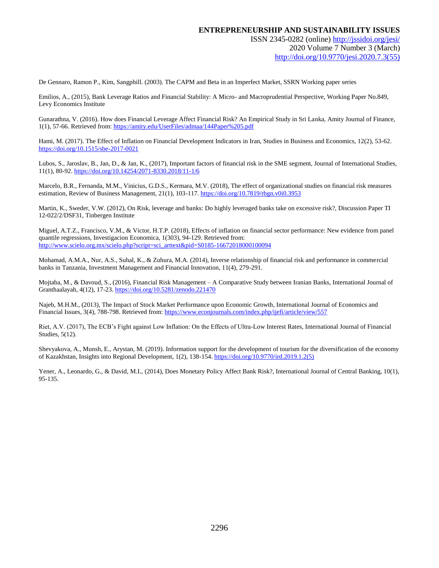```
ISSN 2345-0282 (online) http://jssidoi.org/jesi/
     2020 Volume 7 Number 3 (March)
http://doi.org/10.9770/jesi.2020.7.3(55)
```
De Gennaro, Ramon P., Kim, Sangphill. (2003). The CAPM and Beta in an Imperfect Market, SSRN Working paper series

Emilios, A., (2015), Bank Leverage Ratios and Financial Stability: A Micro- and Macroprudential Perspective, Working Paper No.849, Levy Economics Institute

Gunarathna, V. (2016). How does Financial Leverage Affect Financial Risk? An Empirical Study in Sri Lanka, Amity Journal of Finance, 1(1), 57-66. Retrieved from[: https://amity.edu/UserFiles/admaa/144Paper%205.pdf](https://amity.edu/UserFiles/admaa/144Paper%205.pdf)

Hami, M. (2017). The Effect of Inflation on Financial Development Indicators in Iran, Studies in Business and Economics, 12(2), 53-62. <https://doi.org/10.1515/sbe-2017-0021>

Lubos, S., Jaroslav, B., Jan, D., & Jan, K., (2017), Important factors of financial risk in the SME segment, Journal of International Studies, 11(1), 80-92[. https://doi.org/10.14254/2071-8330.2018/11-1/6](https://doi.org/10.14254/2071-8330.2018/11-1/6)

Marcelo, B.R., Fernanda, M.M., Vinicius, G.D.S., Kermara, M.V. (2018), The effect of organizational studies on financial risk measures estimation, Review of Business Management, 21(1), 103-117[. https://doi.org/10.7819/rbgn.v0i0.3953](https://doi.org/10.7819/rbgn.v0i0.3953)

Martin, K., Sweder, V.W. (2012), On Risk, leverage and banks: Do highly leveraged banks take on excessive risk?, Discussion Paper TI 12-022/2/DSF31, Tinbergen Institute

Miguel, A.T.Z., Francisco, V.M., & Victor, H.T.P. (2018), Effects of inflation on financial sector performance: New evidence from panel quantile regressions, Investigacion Economica, 1(303), 94-129. Retrieved from: [http://www.scielo.org.mx/scielo.php?script=sci\\_arttext&pid=S0185-16672018000100094](http://www.scielo.org.mx/scielo.php?script=sci_arttext&pid=S0185-16672018000100094)

Mohamad, A.M.A., Nur, A.S., Suhal, K., & Zuhura, M.A. (2014), Inverse relationship of financial risk and performance in commercial banks in Tanzania, Investment Management and Financial Innovation, 11(4), 279-291.

Mojtaba, M., & Davoud, S., (2016), Financial Risk Management – A Comparative Study between Iranian Banks, International Journal of Granthaalayah, 4(12), 17-23[. https://doi.org/10.5281/zenodo.221470](https://doi.org/10.5281/zenodo.221470) 

Najeb, M.H.M., (2013), The Impact of Stock Market Performance upon Economic Growth, International Journal of Economics and Financial Issues, 3(4), 788-798. Retrieved from[: https://www.econjournals.com/index.php/ijefi/article/view/557](https://www.econjournals.com/index.php/ijefi/article/view/557)

Riet, A.V. (2017), The ECB's Fight against Low Inflation: On the Effects of Ultra-Low Interest Rates, International Journal of Financial Studies, 5(12).

Shevyakova, A., Munsh, E., Arystan, M. (2019). Information support for the development of tourism for the diversification of the economy of Kazakhstan, Insights into Regional Development, 1(2), 138-154. [https://doi.org/10.9770/ird.2019.1.2\(5\)](https://doi.org/10.9770/ird.2019.1.2(5))

Yener, A., Leonardo, G., & David, M.I., (2014), Does Monetary Policy Affect Bank Risk?, International Journal of Central Banking, 10(1), 95-135.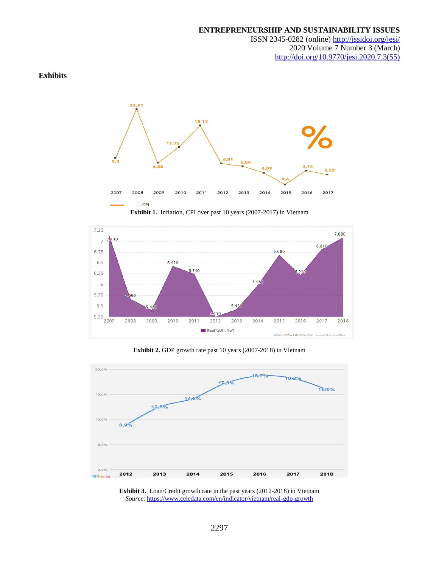ISSN 2345-0282 (online) <http://jssidoi.org/jesi/> 2020 Volume 7 Number 3 (March) [http://doi.org/10.9770/jesi.2020.7.3\(55\)](http://doi.org/10.9770/jesi.2020.7.3(55))

# **Exhibits**





**Exhibit 2.** GDP growth rate past 10 years (2007-2018) in Vietnam